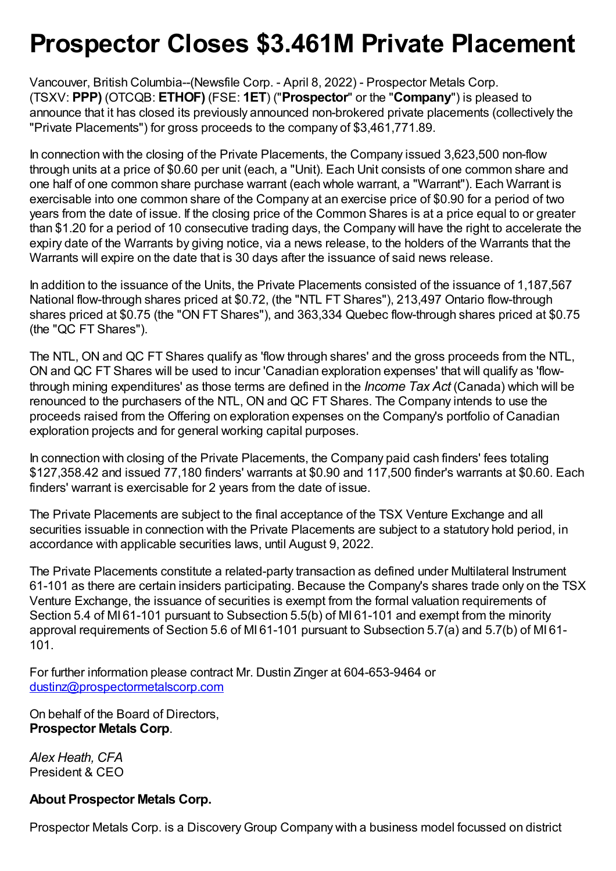## **Prospector Closes \$3.461M Private Placement**

Vancouver, British Columbia--(Newsfile Corp. - April 8, 2022) - Prospector Metals Corp. (TSXV: **PPP)** (OTCQB: **ETHOF)** (FSE: **1ET**) ("**Prospector**" or the "**Company**") is pleased to announce that it has closed its previously announced non-brokered private placements (collectively the "Private Placements") for gross proceeds to the company of \$3,461,771.89.

In connection with the closing of the Private Placements, the Company issued 3,623,500 non-flow through units at a price of \$0.60 per unit (each, a "Unit). Each Unit consists of one common share and one half of one common share purchase warrant (each whole warrant, a "Warrant"). Each Warrant is exercisable into one common share of the Company at an exercise price of \$0.90 for a period of two years from the date of issue. If the closing price of the Common Shares is at a price equal to or greater than \$1.20 for a period of 10 consecutive trading days, the Company will have the right to accelerate the expiry date of the Warrants by giving notice, via a news release, to the holders of the Warrants that the Warrants will expire on the date that is 30 days after the issuance of said news release.

In addition to the issuance of the Units, the Private Placements consisted of the issuance of 1,187,567 National flow-through shares priced at \$0.72, (the "NTL FT Shares"), 213,497 Ontario flow-through shares priced at \$0.75 (the "ON FT Shares"), and 363,334 Quebec flow-through shares priced at \$0.75 (the "QC FT Shares").

The NTL, ON and QC FT Shares qualify as 'flow through shares' and the gross proceeds from the NTL, ON and QC FT Shares will be used to incur 'Canadian exploration expenses' that will qualify as 'flowthrough mining expenditures' as those terms are defined in the *Income Tax Act* (Canada) which will be renounced to the purchasers of the NTL, ON and QC FT Shares. The Company intends to use the proceeds raised from the Offering on exploration expenses on the Company's portfolio of Canadian exploration projects and for general working capital purposes.

In connection with closing of the Private Placements, the Company paid cash finders' fees totaling \$127,358.42 and issued 77,180 finders' warrants at \$0.90 and 117,500 finder's warrants at \$0.60. Each finders' warrant is exercisable for 2 years from the date of issue.

The Private Placements are subject to the final acceptance of the TSX Venture Exchange and all securities issuable in connection with the Private Placements are subject to a statutory hold period, in accordance with applicable securities laws, until August 9, 2022.

The Private Placements constitute a related-party transaction as defined under Multilateral Instrument 61-101 as there are certain insiders participating. Because the Company's shares trade only on the TSX Venture Exchange, the issuance of securities is exempt from the formal valuation requirements of Section 5.4 of MI 61-101 pursuant to Subsection 5.5(b) of MI 61-101 and exempt from the minority approval requirements of Section 5.6 of MI 61-101 pursuant to Subsection 5.7(a) and 5.7(b) of MI 61- 101.

For further information please contract Mr. Dustin Zinger at 604-653-9464 or [dustinz@prospectormetalscorp.com](mailto:dustinz@prospectormetalscorp.com)

On behalf of the Board of Directors, **Prospector Metals Corp**.

*Alex Heath, CFA* President & CEO

## **About Prospector Metals Corp.**

Prospector Metals Corp. is a Discovery Group Company with a business model focussed on district